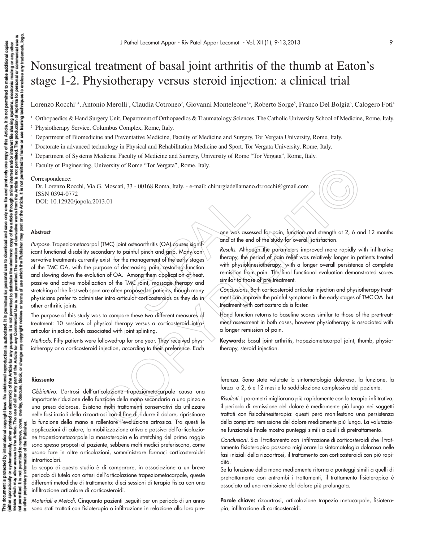# Nonsurgical treatment of basal joint arthritis of the thumb at Eaton's stage 1-2. Physiotherapy versus steroid injection: a clinical trial

Lorenzo Rocchi14, Antonio Merolli<sup>1</sup>, Claudia Cotroneo<sup>2</sup>, Giovanni Monteleone<sup>3,4</sup>, Roberto Sorge<sup>5</sup>, Franco Del Bolgia<sup>6</sup>, Calogero Foti<sup>4</sup>

<sup>1</sup> Orthopaedics & Hand Surgery Unit, Department of Orthopaedics & Traumatology Sciences, The Catholic University School of Medicine, Rome, Italy.

<sup>2</sup> Physiotherapy Service, Columbus Complex, Rome, Italy.

<sup>3</sup> Department of Biomedicine and Preventative Medicine, Faculty of Medicine and Surgery, Tor Vergata University, Rome, Italy.

<sup>4</sup> Doctorate in advanced technology in Physical and Rehabilitation Medicine and Sport. Tor Vergata University, Rome, Italy.

<sup>5</sup> Department of Systems Medicine Faculty of Medicine and Surgery, University of Rome "Tor Vergata", Rome, Italy.

<sup>6</sup> Faculty of Engineering, University of Rome "Tor Vergata", Rome, Italy.

#### Correspondence:

Dr. Lorenzo Rocchi, Via G. Moscati, 33 - 00168 Roma, Italy. - e-mail: chirurgiadellamano.dr.rocchi@gmail.com ISSN 0394-0772

DOI: 10.12920/jopola.2013.01

#### **Abstract**

one was asset<br>osteoarthritis (OA) causes signified and at the erainful pinch and grip. Many con-<br>a management of the early stages are therapy, the therapy, the recessing pain, restoring function<br>Among them application of h Inversity of Rome "Tor Vergata", Rome, Italy. - e-mail: chirurgiadellamamo.dr.rocchi@gmail.com<br>
2. Moscati, 33 - 00168 Roma, Italy. - e-mail: chirurgiadellamamo.dr.rocchi@gmail.com<br>
(TMC) joint osteochrhinis (OA) couses i Purpose. Trapeziometacarpal (TMC) joint osteoarthritis (OA) causes significant functional disability secondary to painful pinch and grip. Many conservative treatments currently exist for the management of the early stages of the TMC OA, with the purpose of decreasing pain, restoring function and slowing down the evolution of OA. Among them application of heat, passive and active mobilization of the TMC joint, massage therapy and stretching of the first web span are often proposed to patients, though many physicians prefer to administer intra-articular corticosteroids as they do in other arthritic joints.

The purpose of this study was to compare these two different measures of treatment: 10 sessions of physical therapy versus a corticosteroid intraarticular injection, both associated with joint splinting.

Methods. Fifty patients were followed-up for one year. They received physiotherapy or a corticosteroid injection, according to their preference. Each

#### **Riassunto**

nation of

Obbiettivo. L'artrosi dell'articolazione trapeziometacarpale causa una importante riduzione della funzione della mano secondaria a una pinza e una presa dolorose. Esistono molti trattamenti conservativi da utilizzare nelle fasi inziali della rizoartrosi con il fine di ridurre il dolore, ripristinare la funzione della mano e rallentare l'evoluzione artrosica. Tra questi le applicazioni di calore, la mobilizzazione attiva e passiva dell'articolazione trapeziometacarpale la massoterapia e lo stretching del primo raggio sono spesso proposti al paziente, sebbene molti medici preferiscono, come usano fare in altre articolazioni, somministrare farmaci corticosteroidei intrarticolari.

Lo scopo di questo studio è di comparare, in associazione a un breve periodo di tutela con ortesi dell'articolazione trapeziometacarpale, queste differenti metodiche di trattamento: dieci sessioni di terapia fisica con una infiltrazione articolare di corticosteroidi.

Materiali e Metodi. Cinquanta pazienti ,seguiti per un periodo di un anno sono stati trattati con fisioterapia o infiltrazione in relazione alla loro preone was assessed for pain, function and strength at 2, 6 and 12 months and at the end of the study for overall satisfaction.

Results. Although the parameters improved more rapidly with infiltrative therapy, the period of pain relief was relatively longer in patients treated with physiokinesiotherapy with a longer overall persistence of complete remission from pain. The final functional evaluation demonstrated scores similar to those of pre-treatment.

Conclusions. Both corticosteroid articular injection and physiotherapy treatment can improve the painful symptoms in the early stages of TMC OA but treatment with corticosteroids is faster.

Hand function returns to baseline scores similar to those of the pre-treatment assessment in both cases, however physiotherapy is associated with a longer remission of pain.

**Keywords:** basal joint arthritis, trapeziometacarpal joint, thumb, physiotherapy, steroid injection.

ferenza. Sono state valutate la sintomatologia dolorosa, la funzione, la forza a 2, 6 e 12 mesi e la soddisfazione complessiva del paziente.

Risultati. I parametri migliorano più rapidamente con la terapia infiltrativa, il periodo di remissione del dolore è mediamente più lungo nei soggetti trattati con fisiochinesiterapia: questi però manifestano una persistenza della completa remissione del dolore mediamente più lunga. La valutazione funzionale finale mostra punteggi simili a quelli di pretrattamento.

Conclusioni. Sia il trattamento con infiltrazione di corticosteroidi che il trattamento fisioterapico possono migliorare la sintomatologia dolorosa nelle fasi iniziali della rizoartrosi, il trattamento con corticosteroidi con più rapidità.

Se la funzione della mano mediamente ritorna a punteggi simili a quelli di pretrattamento con entrambi i trattamenti, il trattamento fisioterapico è associato ad una remissione del dolore più prolungata.

Parole chiave: rizoartrosi, articolazione trapezio metacarpale, fisioterapia, infiltrazione di corticosteroidi.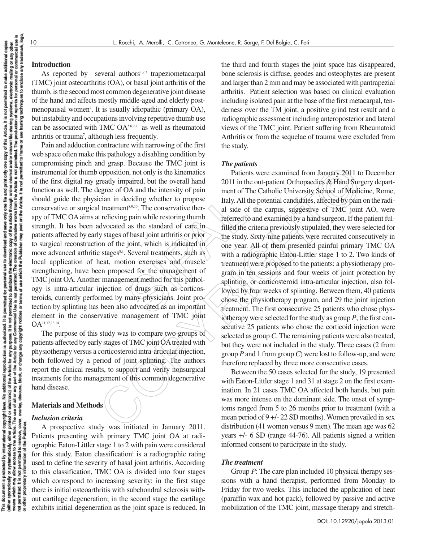# **Introduction**

As reported by several authors<sup>1,2,3</sup> trapeziometacarpal (TMC) joint osteoarthritis (OA), or basal joint arthritis of the thumb, is the second most common degenerative joint disease of the hand and affects mostly middle-aged and elderly postmenopausal women<sup>4</sup>. It is usually idiopathic (primary OA), but instability and occupations involving repetitive thumb use can be associated with TMC  $OA<sub>5,6,2,7</sub>$  as well as rheumatoid arthritis or trauma<sup>7</sup>, although less frequently.

Example 11 and the top of the top of the test of the test of the study. All the test is a side of pain while restoring thumb<br>
sa the standard of care in tilled the of basal joint arthritis or prior<br>
in the study.<br>
joint, w Pain and adduction contracture with narrowing of the first web space often make this pathology a disabling condition by compromising pinch and grasp. Because the TMC joint is instrumental for thumb opposition, not only is the kinematics of the first digital ray greatly impaired, but the overall hand function as well. The degree of OA and the intensity of pain should guide the physician in deciding whether to propose conservative or surgical treatment<sup>8,9,10</sup>. The conservative therapy of TMC OA aims at relieving pain while restoring thumb strength. It has been advocated as the standard of care in patients affected by early stages of basal joint arthritis or prior to surgical reconstruction of the joint, which is indicated in more advanced arthritic stages<sup>8,1</sup>. Several treatments, such as local application of heat, motion exercises and muscle strengthening, have been proposed for the management of TMC joint OA. Another management method for this pathology is intra-articular injection of drugs such as corticosteroids, currently performed by many physicians. Joint protection by splinting has been also advocated as an important element in the conservative management of TMC joint OA11,12,13,14.

The purpose of this study was to compare two groups of patients affected by early stages of TMC joint OAtreated with physiotherapy versus a corticosteroid intra-articular injection, both followed by a period of joint splinting. The authors report the clinical results, to support and verify nonsurgical treatments for the management of this common degenerative hand disease.

# **Materials and Methods**

# *Inclusion criteria*

A prospective study was initiated in January 2011. Patients presenting with primary TMC joint OA at radiographic Eaton-Littler stage 1 to 2 with pain were considered for this study. Eaton classification<sup>1</sup> is a radiographic rating used to define the severity of basal joint arthritis. According to this classification, TMC OA is divided into four stages which correspond to increasing severity: in the first stage there is initial osteoarthritis with subchondral sclerosis without cartilage degeneration; in the second stage the cartilage exhibits initial degeneration as the joint space is reduced. In the third and fourth stages the joint space has disappeared, bone sclerosis is diffuse, geodes and osteophytes are present and larger than 2 mm and may be associated with pantrapezial arthritis. Patient selection was based on clinical evaluation including isolated pain at the base of the first metacarpal, tenderness over the TM joint, a positive grind test result and a radiographic assessment including anteroposterior and lateral views of the TMC joint. Patient suffering from Rheumatoid Arthritis or from the sequelae of trauma were excluded from the study.

# *The patients*

In gas because the rive form in the could be a particular incordinal case.<br>
Sure the proposition, not only is the kinematics Patients were examined from January 2011 to<br>
opposition, not only is the kinematics 2011 in the Patients were examined from January 2011 to December 2011 in the out-patient Orthopaedics & Hand Surgery department of The Catholic University School of Medicine, Rome, Italy. All the potential candidates, affected by pain on the radial side of the carpus, suggestive of TMC joint AO, were referred to and examined by a hand surgeon. If the patient fulfilled the criteria previously stipulated, they were selected for the study. Sixty-nine patients were recruited consecutively in one year. All of them presented painful primary TMC OA with a radiographic Eaton-Littler stage 1 to 2. Two kinds of treatment were proposed to the patients: a physiotherapy program in ten sessions and four weeks of joint protection by splinting, or corticosteroid intra-articular injection, also followed by four weeks of splinting. Between them, 40 patients chose the physiotherapy program, and 29 the joint injection treatment. The first consecutive 25 patients who chose physiotherapy were selected for the study as group *P*, the first consecutive 25 patients who chose the corticoid injection were selected as group *C*. The remaining patients were also treated, but they were not included in the study. Three cases (2 from group *P* and 1 from group *C*) were lost to follow-up, and were therefore replaced by three more consecutive cases.

Between the 50 cases selected for the study, 19 presented with Eaton-Littler stage 1 and 31 at stage 2 on the first examination. In 21 cases TMC OA affected both hands, but pain was more intense on the dominant side. The onset of symptoms ranged from 5 to 26 months prior to treatment (with a mean period of 9 +/- 22 SD months). Women prevailed in sex distribution (41 women versus 9 men). The mean age was 62 years +/- 6 SD (range 44-76). All patients signed a written informed consent to participate in the study.

# *The treatment*

Group *P*: The care plan included 10 physical therapy sessions with a hand therapist, performed from Monday to Friday for two weeks. This included the application of heat (paraffin wax and hot pack), followed by passive and active mobilization of the TMC joint, massage therapy and stretch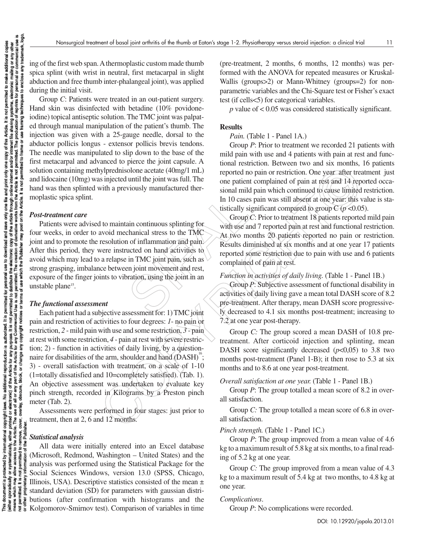ing of the first web span. Athermoplastic custom made thumb spica splint (with wrist in neutral, first metacarpal in slight abduction and free thumb inter-phalangeal joint), was applied during the initial visit.

Group *C*: Patients were treated in an out-patient surgery. Hand skin was disinfected with betadine (10% povidoneiodine) topical antiseptic solution. The TMC joint was palpated through manual manipulation of the patient's thumb. The injection was given with a 25-gauge needle, dorsal to the abductor pollicis longus - extensor pollicis brevis tendons. The needle was manipulated to slip down to the base of the first metacarpal and advanced to pierce the joint capsule. A solution containing methylprednisolone acetate (40mg/1 mL) and lidocaine (10mg) was injected until the joint was full. The hand was then splinted with a previously manufactured thermoplastic spica splint.

#### *Post-treatment care*

In 10 cases<br>
in continuous splinting for<br>
the use are than<br>
in the use are than<br>
in the use are the are the TMC<br>
at two more are the CMC<br>
in TMC joint pain, such as<br>
in TMC joint pain, such as<br>
in TMC joint in an are the c Patients were advised to maintain continuous splinting for four weeks, in order to avoid mechanical stress to the TMC joint and to promote the resolution of inflammation and pain. After this period, they were instructed on hand activities to avoid which may lead to a relapse in TMC joint pain, such as strong grasping, imbalance between joint movement and rest, exposure of the finger joints to vibration, using the joint in an unstable plane<sup>15</sup>.

# *The functional assessment*

Learned to pain restriction between two and substitute<br>
with a previously member of pain term of pain or restriction. One year after treat<br>
in the simpled duril the joint was full. The one pained copin or restriction. One Each patient had a subjective assessment for: 1) TMC joint pain and restriction of activities to four degrees: *1*- no pain or restriction, *2* - mild pain with use and some restriction, *3* - pain at rest with some restriction, *4* - pain at rest with severe restriction; 2) - function in activities of daily living, by a questionnaire for disabilities of the arm, shoulder and hand  $(DASH)^6$ ; 3) - overall satisfaction with treatment, on a scale of 1-10 (1=totally dissatisfied and 10=completely satisfied). (Tab. 1). An objective assessment was undertaken to evaluate key pinch strength, recorded in Kilograms by a Preston pinch meter (Tab. 2).

Assessments were performed in four stages: just prior to treatment, then at 2, 6 and 12 months.

# *Statistical analysis*

All data were initially entered into an Excel database (Microsoft, Redmond, Washington – United States) and the analysis was performed using the Statistical Package for the Social Sciences Windows, version 13.0 (SPSS, Chicago, Illinois, USA). Descriptive statistics consisted of the mean  $\pm$ standard deviation (SD) for parameters with gaussian distriž butions (after confirmation with histograms and the **As in the set of the Set of the Set of the Set of the Set of the Set of Set of Set of Set of Set of Set of Set of Set of Set of Set of Set of Set of Set of Set of Set of Set of Set of Set of Set of Set of Set of Set of Se**  (pre-treatment, 2 months, 6 months, 12 months) was performed with the ANOVA for repeated measures or Kruskal-Wallis (groups>2) or Mann-Whitney (groups=2) for nonparametric variables and the Chi-Square test or Fisher's exact test (if cells<5) for categorical variables.

*p* value of < 0.05 was considered statistically significant.

# **Results**

#### *Pain.* (Table 1 - Panel 1A.)

Group *P*: Prior to treatment we recorded 21 patients with mild pain with use and 4 patients with pain at rest and functional restriction. Between two and six months, 16 patients reported no pain or restriction. One year after treatment just one patient complained of pain at rest and 14 reported occasional mild pain which continued to cause limited restriction. In 10 cases pain was still absent at one year: this value is statistically significant compared to group  $C(p \le 0.05)$ .

Group *C*: Prior to treatment 18 patients reported mild pain with use and 7 reported pain at rest and functional restriction. At two months 20 patients reported no pain or restriction. Results diminished at six months and at one year 17 patients reported some restriction due to pain with use and 6 patients complained of pain at rest.

## *Function in activities of daily living.* (Table 1 - Panel 1B.)

Group *P*: Subjective assessment of functional disability in activities of daily living gave a mean total DASH score of 8.2 pre-treatment. After therapy, mean DASH score progressively decreased to 4.1 six months post-treatment; increasing to 7.2 at one year post-therapy.

Group *C:* The group scored a mean DASH of 10.8 pretreatment. After corticoid injection and splinting, mean DASH score significantly decreased  $(p<0.05)$  to 3.8 two months post-treatment (Panel 1-B); it then rose to 5.3 at six months and to 8.6 at one year post-treatment.

## *Overall satisfaction at one year.* (Table 1 - Panel 1B.)

Group *P*: The group totalled a mean score of 8.2 in overall satisfaction.

Group *C:* The group totalled a mean score of 6.8 in overall satisfaction.

## *Pinch strength.* (Table 1 - Panel 1C.)

Group *P*: The group improved from a mean value of 4.6 kg to a maximum result of 5.8 kg at six months, to a final reading of 5.2 kg at one year.

Group *C:* The group improved from a mean value of 4.3 kg to a maximum result of 5.4 kg at two months, to 4.8 kg at one year.

## *Complications*.

Group *P*: No complications were recorded.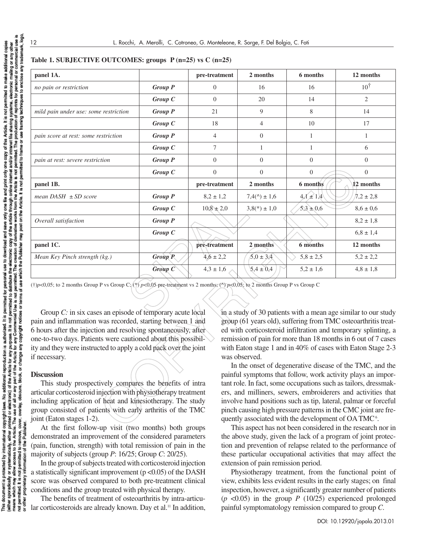| panel 1A.                                                                                                                                                                                                                                                                                                                                                                                                                                                                                                  |                | pre-treatment  | 2 months                                                         | 6 months       | 12 months                                                                                                                                                                                                                                                                                                                                                                                                                                                     |
|------------------------------------------------------------------------------------------------------------------------------------------------------------------------------------------------------------------------------------------------------------------------------------------------------------------------------------------------------------------------------------------------------------------------------------------------------------------------------------------------------------|----------------|----------------|------------------------------------------------------------------|----------------|---------------------------------------------------------------------------------------------------------------------------------------------------------------------------------------------------------------------------------------------------------------------------------------------------------------------------------------------------------------------------------------------------------------------------------------------------------------|
| no pain or restriction                                                                                                                                                                                                                                                                                                                                                                                                                                                                                     | <b>Group P</b> | $\overline{0}$ | 16                                                               | 16             | $10^{\dagger}$                                                                                                                                                                                                                                                                                                                                                                                                                                                |
|                                                                                                                                                                                                                                                                                                                                                                                                                                                                                                            | Group C        | $\overline{0}$ | 20                                                               | 14             | $\mathbf{2}$                                                                                                                                                                                                                                                                                                                                                                                                                                                  |
| mild pain under use: some restriction                                                                                                                                                                                                                                                                                                                                                                                                                                                                      | <b>Group P</b> | 21             | 9                                                                | 8              | 14                                                                                                                                                                                                                                                                                                                                                                                                                                                            |
|                                                                                                                                                                                                                                                                                                                                                                                                                                                                                                            | Group C        | 18             | $\overline{4}$                                                   | 10             | 17                                                                                                                                                                                                                                                                                                                                                                                                                                                            |
| pain score at rest: some restriction                                                                                                                                                                                                                                                                                                                                                                                                                                                                       | <b>Group P</b> | $\overline{4}$ | $\overline{0}$                                                   | $\mathbf{1}$   | $\mathbf{1}$                                                                                                                                                                                                                                                                                                                                                                                                                                                  |
|                                                                                                                                                                                                                                                                                                                                                                                                                                                                                                            | Group C        | $\tau$         | $\mathbf{1}$                                                     | $\mathbf{1}$   | 6                                                                                                                                                                                                                                                                                                                                                                                                                                                             |
| pain at rest: severe restriction                                                                                                                                                                                                                                                                                                                                                                                                                                                                           | <b>Group P</b> | $\overline{0}$ | $\overline{0}$                                                   | $\theta$       | $\overline{0}$                                                                                                                                                                                                                                                                                                                                                                                                                                                |
|                                                                                                                                                                                                                                                                                                                                                                                                                                                                                                            | Group C        | $\overline{0}$ | $\overline{0}$                                                   | $\overline{0}$ | $\overline{0}$                                                                                                                                                                                                                                                                                                                                                                                                                                                |
| panel 1B.                                                                                                                                                                                                                                                                                                                                                                                                                                                                                                  |                | pre-treatment  | 2 months                                                         | 6 months       | 12 months                                                                                                                                                                                                                                                                                                                                                                                                                                                     |
| mean $DASH \pm SD$ score                                                                                                                                                                                                                                                                                                                                                                                                                                                                                   | <b>Group P</b> | $8,2 \pm 1,2$  | $7,4(^{\wedge}) \pm 1,6$                                         | $4.1 \pm 1.4$  | $7,2 \pm 2,8$                                                                                                                                                                                                                                                                                                                                                                                                                                                 |
|                                                                                                                                                                                                                                                                                                                                                                                                                                                                                                            | Group C        | $10,8 \pm 2,0$ | $3,8(*) \pm 1,0$                                                 | $5.3 \pm 0.6$  | $8.6 \pm 0.6$                                                                                                                                                                                                                                                                                                                                                                                                                                                 |
| Overall satisfaction                                                                                                                                                                                                                                                                                                                                                                                                                                                                                       | <b>Group P</b> |                |                                                                  |                | $8,2 \pm 1,8$                                                                                                                                                                                                                                                                                                                                                                                                                                                 |
|                                                                                                                                                                                                                                                                                                                                                                                                                                                                                                            | Group C        |                |                                                                  |                | $6,8 \pm 1,4$                                                                                                                                                                                                                                                                                                                                                                                                                                                 |
| panel 1C.                                                                                                                                                                                                                                                                                                                                                                                                                                                                                                  |                | pre-treatment  | 2 months                                                         | 6 months       | 12 months                                                                                                                                                                                                                                                                                                                                                                                                                                                     |
| Mean Key Pinch strength (kg.)                                                                                                                                                                                                                                                                                                                                                                                                                                                                              | <b>Group P</b> | $4,6 \pm 2,2$  | $5.0 \pm 3.4$                                                    | $5.8 \pm 2.5$  | $5.2 \pm 2.2$                                                                                                                                                                                                                                                                                                                                                                                                                                                 |
|                                                                                                                                                                                                                                                                                                                                                                                                                                                                                                            | Group C        | $4,3 \pm 1,6$  | $5.4 \pm 0.4$                                                    | $5,2 \pm 1,6$  | $4,8 \pm 1,8$                                                                                                                                                                                                                                                                                                                                                                                                                                                 |
| (†) $p<0,05$ ; to 2 months Group P vs Group C; $(\frac{*}{2})$ p<0,05 pre-treatment vs 2 months; ( $\frac{N}{2}$ p<0,05; to 2 months Group P vs Group C<br>Group C: in six cases an episode of temporary acute local<br>pain and inflammation was recorded, starting between 1 and<br>6 hours after the injection and resolving spontaneously, after<br>one-to-two days. Patients were cautioned about this possibil-<br>ity and they were instructed to apply a cold pack over the joint<br>if necessary. |                |                | was observed.                                                    |                | in a study of 30 patients with a mean age similar to our study<br>group (61 years old), suffering from TMC osteoarthritis treat-<br>ed with corticosteroid infiltration and temporary splinting, a<br>remission of pain for more than 18 months in 6 out of 7 cases<br>with Eaton stage 1 and in 40% of cases with Eaton Stage 2-3                                                                                                                            |
| <b>Discussion</b><br>This study prospectively compares the benefits of intra-<br>articular corticosteroid injection with physiotherapy treatment<br>including application of heat and kinesiotherapy. The study<br>group consisted of patients with early arthritis of the TMC<br>joint (Eaton stages 1-2).<br>At the first follow-un visit (two months) both groups                                                                                                                                       |                |                | quently associated with the development of OA TMC <sup>6</sup> . |                | In the onset of degenerative disease of the TMC, and the<br>painful symptoms that follow, work activity plays an impor-<br>tant role. In fact, some occupations such as tailors, dressmak-<br>ers, and milliners, sewers, embroiderers and activities that<br>involve hand positions such as tip, lateral, palmar or forceful<br>pinch causing high pressure patterns in the CMC joint are fre-<br>This aspect has not been considered in the research nor in |

| Table 1. SUBJECTIVE OUTCOMES: groups $P(n=25)$ vs C (n=25) |  |  |
|------------------------------------------------------------|--|--|
|------------------------------------------------------------|--|--|

#### **Discussion**

At the first follow-up visit (two months) both groups demonstrated an improvement of the considered parameters (pain, function, strength) with total remission of pain in the majority of subjects (group *P*: 16/25; Group *C*: 20/25).

In the group of subjects treated with corticosteroid injection a statistically significant improvement  $(p < 0.05)$  of the DASH score was observed compared to both pre-treatment clinical conditions and the group treated with physical therapy.

The benefits of treatment of osteoarthritis by intra-articular corticosteroids are already known. Day et al.<sup>11</sup> In addition,

This aspect has not been considered in the research nor in the above study, given the lack of a program of joint protection and prevention of relapse related to the performance of these particular occupational activities that may affect the extension of pain remission period.

Physiotherapy treatment, from the functional point of view, exhibits less evident results in the early stages; on final inspection, however, a significantly greater number of patients (*p* <0.05) in the group *P* (10/25) experienced prolonged painful symptomatology remission compared to group *C*.